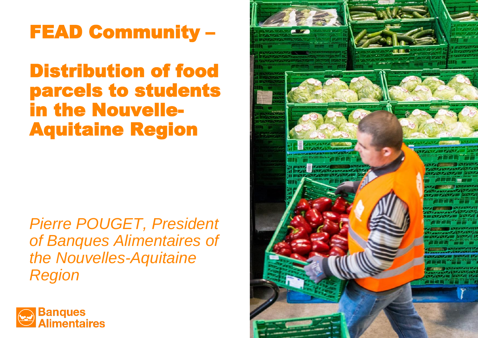

## Distribution of food parcels to students in the Nouvelle - Aquitaine Region

*Pierre POUGET, President of Banques Alimentaires of the Nouvelles -Aquitaine Region*



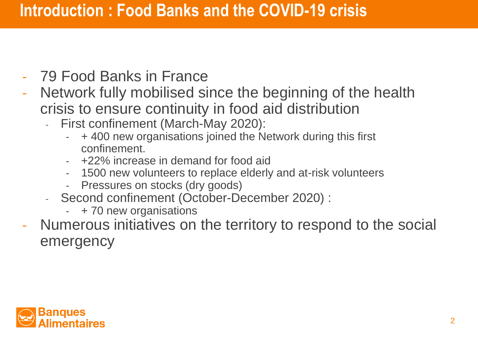- 79 Food Banks in France
- Network fully mobilised since the beginning of the health crisis to ensure continuity in food aid distribution
	- First confinement (March-May 2020):
		- + 400 new organisations joined the Network during this first confinement.
		- +22% increase in demand for food aid
		- 1500 new volunteers to replace elderly and at-risk volunteers
		- Pressures on stocks (dry goods)
	- Second confinement (October-December 2020) :
		- + 70 new organisations
- Numerous initiatives on the territory to respond to the social emergency

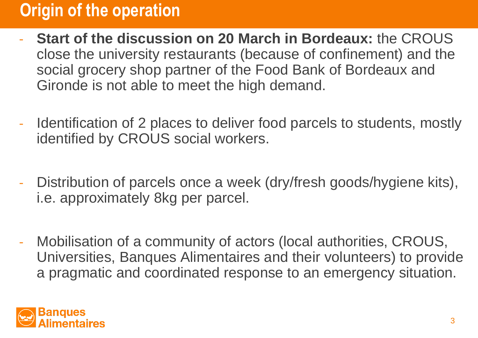## **Origin of the operation**

- **Start of the discussion on 20 March in Bordeaux:** the CROUS close the university restaurants (because of confinement) and the social grocery shop partner of the Food Bank of Bordeaux and Gironde is not able to meet the high demand.
- Identification of 2 places to deliver food parcels to students, mostly identified by CROUS social workers.
- Distribution of parcels once a week (dry/fresh goods/hygiene kits), i.e. approximately 8kg per parcel.
- Mobilisation of a community of actors (local authorities, CROUS, Universities, Banques Alimentaires and their volunteers) to provide a pragmatic and coordinated response to an emergency situation.

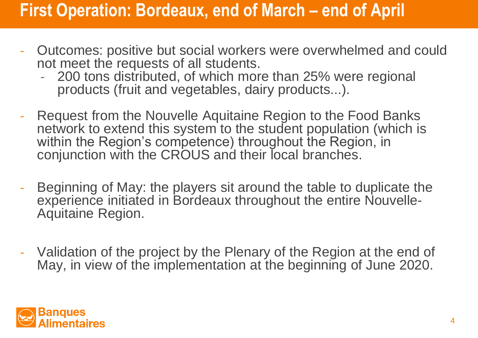## **First Operation: Bordeaux, end of March – end of April**

- Outcomes: positive but social workers were overwhelmed and could not meet the requests of all students.
	- 200 tons distributed, of which more than 25% were regional products (fruit and vegetables, dairy products...).
- Request from the Nouvelle Aquitaine Region to the Food Banks network to extend this system to the student population (which is within the Region's competence) throughout the Region, in conjunction with the CROUS and their local branches.
- Beginning of May: the players sit around the table to duplicate the experience initiated in Bordeaux throughout the entire Nouvelle-Aquitaine Region.
- Validation of the project by the Plenary of the Region at the end of May, in view of the implementation at the beginning of June 2020.

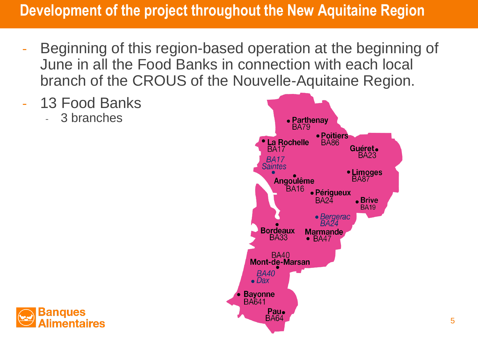### **Development of the project throughout the New Aquitaine Region**

- Beginning of this region-based operation at the beginning of June in all the Food Banks in connection with each local branch of the CROUS of the Nouvelle-Aquitaine Region.
- 13 Food Banks
	- 3 branches



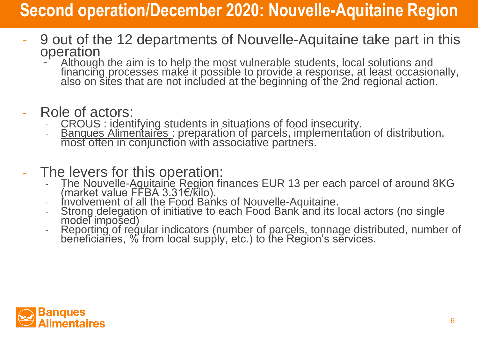# **Second operation/December 2020: Nouvelle-Aquitaine Region**

- 9 out of the 12 departments of Nouvelle-Aquitaine take part in this operation
	- Although the aim is to help the most vulnerable students, local solutions and financing processes make it possible to provide a response, at least occasionally, also on sites that are not included at the beginning of the 2nd regional action.
- Role of actors:
	- CROUS: identifying students in situations of food insecurity.
	- Banques Alimentaires : preparation of parcels, implementation of distribution, most often in conjunction with associative partners.
- The levers for this operation:
	- The Nouvelle-Aquitaine Region finances EUR 13 per each parcel of around 8KG (market value FFBA 3.31€/kilo).
	- Involvement of all the Food Banks of Nouvelle-Aquitaine.
	- Strong delegation of initiative to each Food Bank and its local actors (no single model imposed)
	- Reporting of regular indicators (number of parcels, tonnage distributed, number of beneficiar̃ies, % from local supp̀ly, etc.) to the Region's sĕrvices.